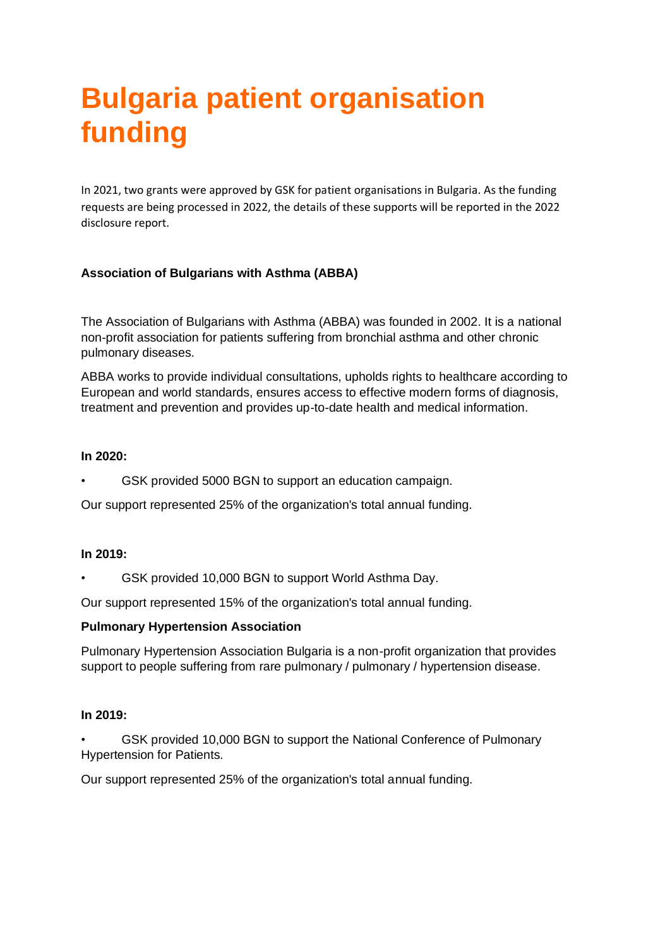# **Bulgaria patient organisation funding**

In 2021, two grants were approved by GSK for patient organisations in Bulgaria. As the funding requests are being processed in 2022, the details of these supports will be reported in the 2022 disclosure report.

## **Association of Bulgarians with Asthma (ABBA)**

The Association of Bulgarians with Asthma (ABBA) was founded in 2002. It is a national non-profit association for patients suffering from bronchial asthma and other chronic pulmonary diseases.

ABBA works to provide individual consultations, upholds rights to healthcare according to European and world standards, ensures access to effective modern forms of diagnosis, treatment and prevention and provides up-to-date health and medical information.

### **In 2020:**

GSK provided 5000 BGN to support an education campaign.

Our support represented 25% of the organization's total annual funding.

#### **In 2019:**

• GSK provided 10,000 BGN to support World Asthma Day.

Our support represented 15% of the organization's total annual funding.

## **Pulmonary Hypertension Association**

Pulmonary Hypertension Association Bulgaria is a non-profit organization that provides support to people suffering from rare pulmonary / pulmonary / hypertension disease.

#### **In 2019:**

GSK provided 10,000 BGN to support the National Conference of Pulmonary Hypertension for Patients.

Our support represented 25% of the organization's total annual funding.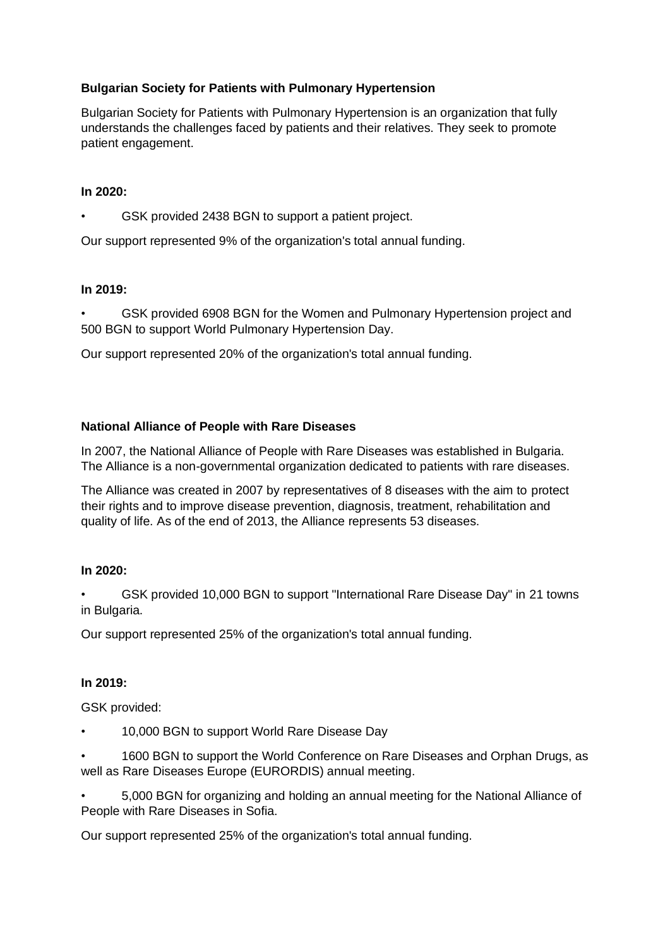## **Bulgarian Society for Patients with Pulmonary Hypertension**

Bulgarian Society for Patients with Pulmonary Hypertension is an organization that fully understands the challenges faced by patients and their relatives. They seek to promote patient engagement.

#### **In 2020:**

GSK provided 2438 BGN to support a patient project.

Our support represented 9% of the organization's total annual funding.

#### **In 2019:**

• GSK provided 6908 BGN for the Women and Pulmonary Hypertension project and 500 BGN to support World Pulmonary Hypertension Day.

Our support represented 20% of the organization's total annual funding.

#### **National Alliance of People with Rare Diseases**

In 2007, the National Alliance of People with Rare Diseases was established in Bulgaria. The Alliance is a non-governmental organization dedicated to patients with rare diseases.

The Alliance was created in 2007 by representatives of 8 diseases with the aim to protect their rights and to improve disease prevention, diagnosis, treatment, rehabilitation and quality of life. As of the end of 2013, the Alliance represents 53 diseases.

#### **In 2020:**

• GSK provided 10,000 BGN to support "International Rare Disease Day" in 21 towns in Bulgaria.

Our support represented 25% of the organization's total annual funding.

#### **In 2019:**

GSK provided:

• 10,000 BGN to support World Rare Disease Day

• 1600 BGN to support the World Conference on Rare Diseases and Orphan Drugs, as well as Rare Diseases Europe (EURORDIS) annual meeting.

• 5,000 BGN for organizing and holding an annual meeting for the National Alliance of People with Rare Diseases in Sofia.

Our support represented 25% of the organization's total annual funding.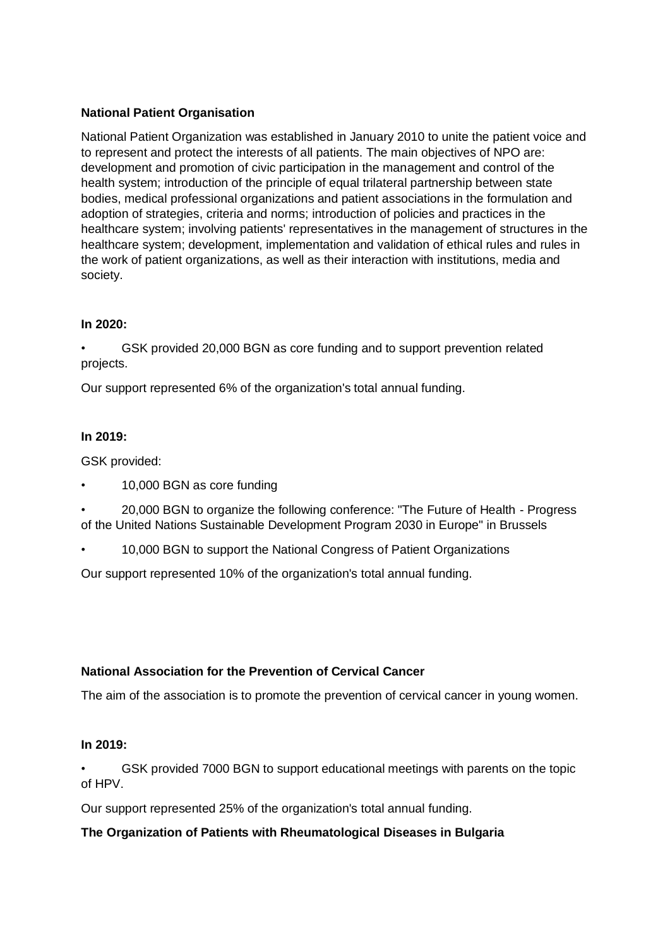## **National Patient Organisation**

National Patient Organization was established in January 2010 to unite the patient voice and to represent and protect the interests of all patients. The main objectives of NPO are: development and promotion of civic participation in the management and control of the health system; introduction of the principle of equal trilateral partnership between state bodies, medical professional organizations and patient associations in the formulation and adoption of strategies, criteria and norms; introduction of policies and practices in the healthcare system; involving patients' representatives in the management of structures in the healthcare system; development, implementation and validation of ethical rules and rules in the work of patient organizations, as well as their interaction with institutions, media and society.

## **In 2020:**

• GSK provided 20,000 BGN as core funding and to support prevention related projects.

Our support represented 6% of the organization's total annual funding.

## **In 2019:**

GSK provided:

- 10,000 BGN as core funding
- 20,000 BGN to organize the following conference: "The Future of Health Progress of the United Nations Sustainable Development Program 2030 in Europe" in Brussels
- 10,000 BGN to support the National Congress of Patient Organizations

Our support represented 10% of the organization's total annual funding.

# **National Association for the Prevention of Cervical Cancer**

The aim of the association is to promote the prevention of cervical cancer in young women.

## **In 2019:**

• GSK provided 7000 BGN to support educational meetings with parents on the topic of HPV.

Our support represented 25% of the organization's total annual funding.

## **The Organization of Patients with Rheumatological Diseases in Bulgaria**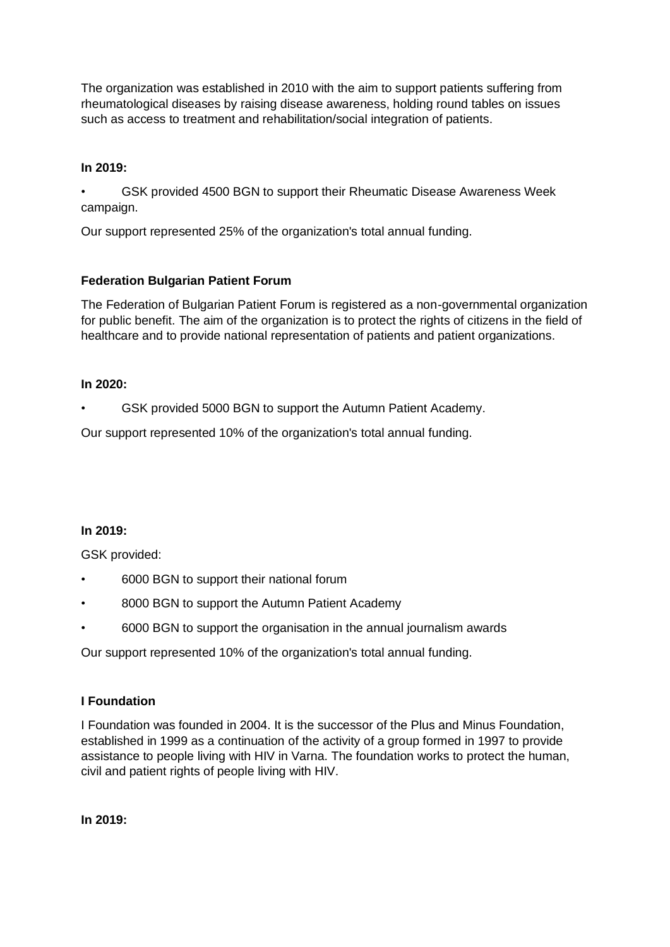The organization was established in 2010 with the aim to support patients suffering from rheumatological diseases by raising disease awareness, holding round tables on issues such as access to treatment and rehabilitation/social integration of patients.

## **In 2019:**

• GSK provided 4500 BGN to support their Rheumatic Disease Awareness Week campaign.

Our support represented 25% of the organization's total annual funding.

## **Federation Bulgarian Patient Forum**

The Federation of Bulgarian Patient Forum is registered as a non-governmental organization for public benefit. The aim of the organization is to protect the rights of citizens in the field of healthcare and to provide national representation of patients and patient organizations.

#### **In 2020:**

GSK provided 5000 BGN to support the Autumn Patient Academy.

Our support represented 10% of the organization's total annual funding.

#### **In 2019:**

GSK provided:

- 6000 BGN to support their national forum
- 8000 BGN to support the Autumn Patient Academy
- 6000 BGN to support the organisation in the annual journalism awards

Our support represented 10% of the organization's total annual funding.

#### **I Foundation**

I Foundation was founded in 2004. It is the successor of the Plus and Minus Foundation, established in 1999 as a continuation of the activity of a group formed in 1997 to provide assistance to people living with HIV in Varna. The foundation works to protect the human, civil and patient rights of people living with HIV.

**In 2019:**